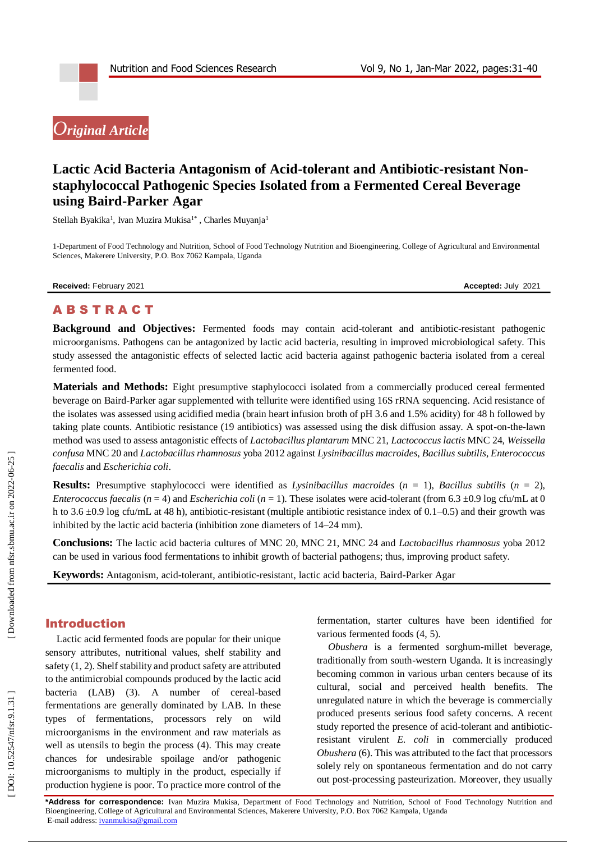# *Original Article*

# Lactic Acid Bacteria Antagonism of Acid-tolerant and Antibiotic-resistant Non**staphylococcal Pathogenic Species Isolated from a Fermented Cereal Beverage using Baird -Parker Agar**

Stellah Byakika<sup>1</sup>, Ivan Muzira Mukisa<sup>1\*</sup>, Charles Muyanja<sup>1</sup>

1 -Department of Food Technology and Nutrition, School of Food Technology Nutrition and Bioengineering, College of Agricultural and Environmental Sciences, Makerere University, P.O. Box 7062 Kampala, Uganda

**Received:** February 2021 **Accepted:** July 2021

# A B S T R A C T

Background and Objectives: Fermented foods may contain acid-tolerant and antibiotic-resistant pathogenic microorganisms. Pathogens can be antagonized by lactic acid bacteria, resulting in improved microbiological safety. This study assessed the antagonistic effects of selected lactic acid bacteria against pathogenic bacteria isolated from a cereal fermented food.

**Materials and Methods:** Eight presumptive staphylococci isolated from a commercially produced cereal fermented beverage on Baird -Parker agar supplemented with tellurite were identified using 16S rRNA sequencing. Acid resistance of the isolates was assessed using acidified media (brain heart infusion broth of pH 3.6 and 1.5% acidity) for 48 h followed by taking plate counts. Antibiotic resistance (19 antibiotics) was assessed using the disk diffusion assay. A spot -on -the -lawn method was used to assess antagonistic effects of *Lactobacillus plantarum* MNC 21, *Lactococcus lactis* MNC 24, *Weissella confusa* MNC 20 and *Lactobacillus rhamnosus* yoba 2012 against *Lysinibacillus macroides*, *Bacillus subtilis*, *Enterococcus faecalis* and *Escherichia coli* .

**Results:** Presumptive staphylococci were identified as *Lysinibacillus macroides*  $(n = 1)$ , *Bacillus subtilis*  $(n = 2)$ , *Enterococcus faecalis* ( $n = 4$ ) and *Escherichia coli* ( $n = 1$ ). These isolates were acid-tolerant (from 6.3 ±0.9 log cfu/mL at 0 h to 3.6  $\pm$ 0.9 log cfu/mL at 48 h), antibiotic-resistant (multiple antibiotic resistance index of 0.1–0.5) and their growth was inhibited by the lactic acid bacteria (inhibition zone diameters of 14 –24 mm).

**Conclusions:** The lactic acid bacteria cultures of MNC 20, MNC 21, MNC 24 and *Lactobacillus rhamnosus* yoba 2012 can be used in various food fermentations to inhibit growth of bacterial pathogens; thus, improving product safety.

Keywords: Antagonism, acid-tolerant, antibiotic-resistant, lactic acid bacteria, Baird-Parker Agar

# Introduction

Lactic acid fermented foods are popular for their unique sensory attributes, nutritional values, shelf stability and safety (1, 2). Shelf stability and product safety are attributed to the antimicrobial compounds produced by the lactic acid bacteria (LAB) (3). A number of cereal -based fermentations are generally dominated by LAB. In these type s of fermentation s, processors rely on wild microorganisms in the environment and raw materials as well as utensils to begin the process (4). This may create chances for undesirable spoilage and/or pathogenic microorganisms to multiply in the product, especially if production hygiene is poor. To practice more control of the

fermentation, starter cultures have been identified for various fermented foods (4, 5).

*Obushera* is a fermented sorghum -millet beverage, traditionally from south -western Uganda. It is increasingly becoming common in various urban centers because of its cultural, social and perceived health benefits. The unregulated nature in which the beverage is commercially produced presents serious food safety concerns. A recent study reported the presence of acid -tolerant and antibiotic resistant virulent *E. coli* in commercially produced *Obushera* (6). This was attributed to the fact that processors solely rely on spontaneous fermentation and do not carry out post -processing pasteurization. Moreover, they usually

**\*Address for correspondence:** Ivan Muzira Mukisa, Department of Food Technology and Nutrition, School of Food Technology Nutrition and Bioengineering, College of Agricultural and Environmental Sciences, Makerere University, P.O. Box 7062 Kampala, Uganda E-mail address[: ivanmukisa@gmail.com](mailto:ivanmukisa@gmail.com)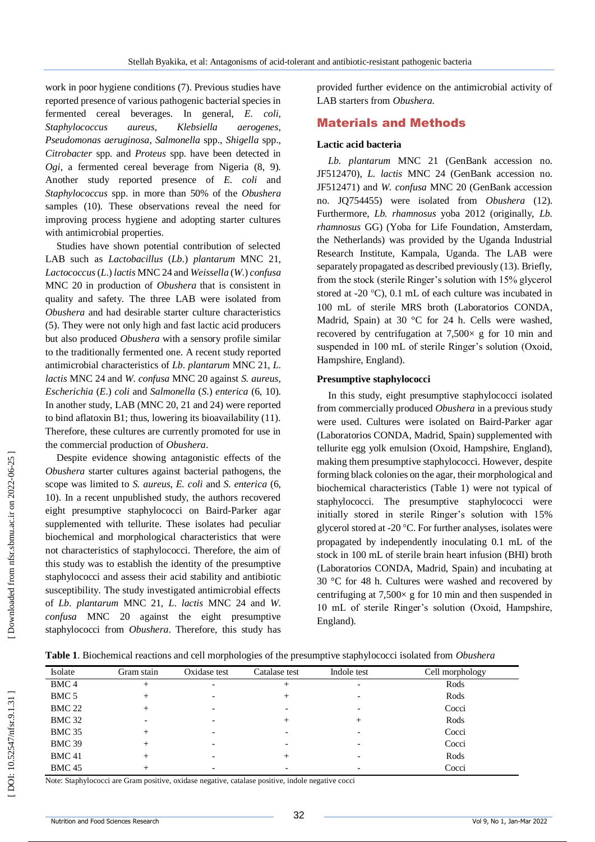work in poor hygiene conditions (7). Previous studies have reported presence of various pathogenic bacterial species in fermented cereal beverages. In general, *E. coli*, *Staphylococcus aureus*, *Klebsiella aerogenes*, *Pseudomonas aeruginosa*, *Salmonella* spp., *Shigella* spp., *Citrobacter* spp. and *Proteus* spp. have been detected in *Ogi*, a fermented cereal beverage from Nigeria (8, 9). Another study reported presence of *E. coli* and *Staphylococcus* spp. in more than 50% of the *Obushera* samples (10). These observations reveal the need for improving process hygiene and adopting starter cultures with antimicrobial properties.

Studies have shown potential contribution of selected LAB such as *Lactobacillus* (*Lb*.) *plantarum* MNC 21, *Lactococcus* ( *L*.) *lactis* MNC 24 and *Weissella* ( *W*.) *confusa* MNC 20 in production of *Obushera* that is consistent in quality and safety. The three LAB were isolated from *Obushera* and had desirable starter culture characteristics (5). They were not only high and fast lactic acid producers but also produced *Obushera* with a sensory profile similar to the traditionally fermented one. A recent study reported antimicrobial characteristics of *Lb*. *plantarum* MNC 21, *L*. *lactis* MNC 24 and *W*. *confusa* MNC 20 against *S. aureus*, *Escherichia* ( *E*.) *coli* and *Salmonella* ( *S*.) *enterica* (6, 10). In another study, LAB (MNC 20, 21 and 24) were reported to bind aflatoxin B1; thus, lowering its bioavailability (11). Therefore, these cultures are currently promoted for use in the commercial production of *Obushera*.

Despite evidence showing antagonistic effects of the *Obushera* starter cultures against bacterial pathogens, the scope was limited to *S. aureus*, *E. coli* and *S. enterica* (6, 10). In a recent unpublished study, the authors recovered eight presumptive staphylococci on Baird -Parker agar supplemented with tellurite. These isolates had peculiar biochemical and morphological characteristics that were not characteristics of staphylococci. Therefore, the aim of this study was to establish the identity of the presumptive staphylococci and assess their acid stability and antibiotic susceptibility. The study investigated antimicrobial effects of *Lb*. *plantarum* MNC 21, *L*. *lactis* MNC 24 and *W*. *confusa* MNC 20 against the eight presumptive staphylococci from *Obushera*. Therefore, this study has

provided further evidence on the antimicrobial activity of LAB starters from *Obushera.*

# Material s and Methods

#### **Lactic acid bacteria**

*Lb. plantarum* MNC 21 (GenBank accession no. JF512470), *L. lactis* MNC 24 (GenBank accession no. JF512471) and *W. confusa* MNC 20 (GenBank accession no. JQ754455) were isolated from *Obushera* (12). Furthermore, *Lb. rhamnosus* yoba 2012 (originally, *Lb. rhamnosus* GG) (Yoba for Life Foundation, Amsterdam, the Netherlands) was provided by the Uganda Industrial Research Institute, Kampala, Uganda. The LAB were separately propagated as described previously (13). Briefly, from the stock (sterile Ringer's solution with 15% glycerol stored at -20 °C), 0.1 mL of each culture was incubated in 100 mL of sterile MRS broth (Laboratorios CONDA, Madrid, Spain) at 30 °C for 24 h. Cells were washed, recovered by centrifugation at  $7,500 \times$  g for 10 min and suspended in 100 mL of sterile Ringer's solution (Oxoid, Hampshire, England).

#### **Presumptive staphylococci**

In this study, eight presumptive staphylococci isolated from commercially produced *Obushera* in a previous study were used. Cultures were isolated on Baird -Parker agar (Laboratorios CONDA, Madrid, Spain) supplemented with tellurite egg yolk emulsion (Oxoid, Hampshire, England), making them presumptive staphylococci. However, despite forming black colonies on the agar, their morphological and biochemical characteristics (Table 1) were not typical of staphylococci. The presumptive staphylococci were initially stored in sterile Ringer's solution with 15% glycerol stored at -20 C. For further analyses, isolates were propagated by independently inoculating 0.1 mL of the stock in 100 mL of sterile brain heart infusion (BHI) broth (Laboratorios CONDA, Madrid, Spain) and incubating at 30 °C for 48 h. Cultures were washed and recovered by centrifuging at  $7,500 \times$  g for 10 min and then suspended in 10 mL of sterile Ringer's solution (Oxoid, Hampshire, England).

| Isolate          | Gram stain      | Oxidase test             | Catalase test | Indole test              | Cell morphology |
|------------------|-----------------|--------------------------|---------------|--------------------------|-----------------|
| BMC <sub>4</sub> | $^+$            |                          | $^{+}$        | $\overline{\phantom{a}}$ | Rods            |
| BMC 5            | $^+$            |                          | $^+$          |                          | Rods            |
| <b>BMC 22</b>    | +               |                          |               |                          | Cocci           |
| <b>BMC 32</b>    | $\qquad \qquad$ | $\overline{\phantom{a}}$ | $^+$          | $^+$                     | Rods            |
| <b>BMC 35</b>    | $\pm$           | $\overline{\phantom{0}}$ |               |                          | Cocci           |
| <b>BMC 39</b>    | +               | $\overline{\phantom{0}}$ |               |                          | Cocci           |
| <b>BMC41</b>     |                 | $\overline{\phantom{a}}$ |               |                          | Rods            |
| <b>BMC 45</b>    | $\pm$           | $\overline{\phantom{0}}$ |               |                          | Cocci           |

Note: Staphylococci are Gram positive, oxidase negative, catalase positive, indole negative cocci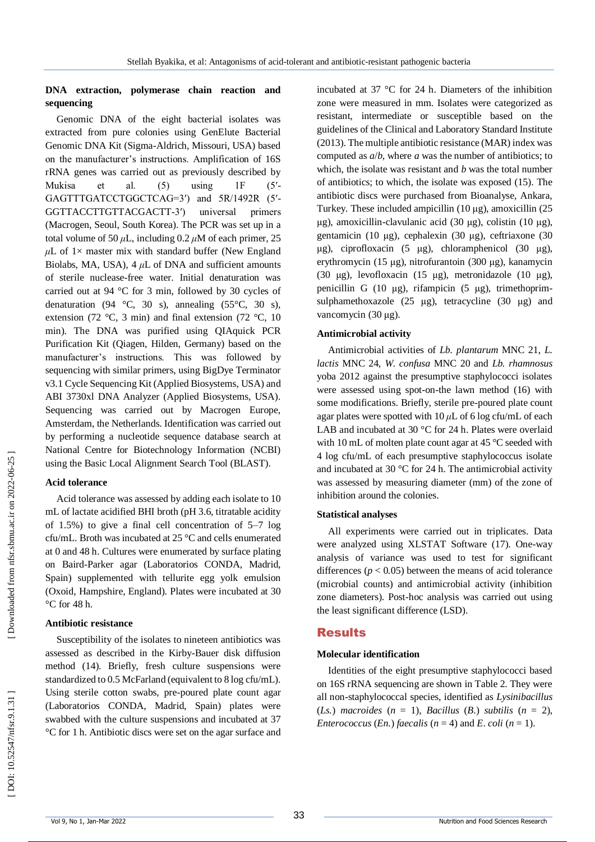## **DNA extraction, polymerase chain reaction and sequencing**

Genomic DNA of the eight bacterial isolates was extracted from pure colonies using GenElute Bacterial Genomic DNA Kit (Sigma -Aldrich, Missouri, USA) based on the manufacturer's instructions. Amplification of 16S rRNA genes was carried out as previously described by Mukisa et al. (5) using 1F  $(5'$ GAGTTTGATCCTGGCTCAG=3') and 5R/1492R (5'-GGTTACCTTGTTACGACTT universal primers (Macrogen, Seoul, South Korea). The PCR was set up in a total volume of 50  $\mu$ L, including 0.2  $\mu$ M of each primer, 25  $\mu$ L of 1× master mix with standard buffer (New England Biolabs, MA, USA),  $4 \mu L$  of DNA and sufficient amounts of sterile nuclease -free water. Initial denaturation was carried out at 94 °C for 3 min, followed by 30 cycles of denaturation (94 °C, 30 s), annealing (55 °C, 30 s), extension (72 °C, 3 min) and final extension (72 °C, 10 min). The DNA was purified using QIAquick PCR Purification Kit (Qiagen, Hilden, Germany) based on the manufacturer's instructions. This was followed by sequencing with similar primers, using BigDye Terminator v3.1 Cycle Sequencing Kit (Applied Biosystems, USA) and ABI 3730xl DNA Analyzer (Applied Biosystems, USA). Sequencing was carried out by Macrogen Europe, Amsterdam, the Netherlands. Identification was carried out by performing a nucleotide sequence database search at National Centre for Biotechnology Information (NCBI) using the Basic Local Alignment Search Tool (BLAST).

#### **Acid tolerance**

Acid tolerance was assessed by adding each isolate to 10 mL of lactate acidified BHI broth (pH 3.6, titratable acidity of 1.5%) to give a final cell concentration of 5 –7 log cfu/mL. Broth was incubated at 25 °C and cells enumerated at 0 and 48 h. Cultures were enumerated by surface plating on Baird -Parker agar (Laboratorios CONDA, Madrid, Spain) supplemented with tellurite egg yolk emulsion (Oxoid, Hampshire, England). Plates were incubated at 30 °C for 48 h.

#### **Antibiotic resistance**

Susceptibility of the isolates to nineteen antibiotics was assessed as described in the Kirby -Bauer disk diffusion method (14). Briefly, fresh culture suspensions were standardized to 0.5 McFarland (equivalent to 8 log cfu/mL). Using sterile cotton swabs, pre -poured plate count agar (Laboratorios CONDA, Madrid, Spain) plates were swabbed with the culture suspensions and incubated at 37 °C for 1 h. Antibiotic discs were set on the agar surface and

incubated at 37 °C for 24 h. Diameters of the inhibition zone were measured in mm. Isolates were categorized as resistant, intermediate or susceptible based on the guidelines of the Clinical and Laboratory Standard Institute (2013). The multiple antibiotic resistance (MAR) index was computed as *a* / *b*, where *a* was the number of antibiotics; to which, the isolate was resistant and *b* was the total number of antibiotics; to which, the isolate was exposed (15). The antibiotic discs were purchased from Bioanalyse, Ankara, Turkey. These included ampicillin (10 μg), amoxicillin (25 μg), amoxicillin -clavulanic acid (30 μg), colistin (10 μg), gentamicin (10 μg), cephalexin (30 μg), ceftriaxone (30 μg), ciprofloxacin (5 μg), chloramphenicol (30 μg), erythromycin (15 μg), nitrofurantoin (300 μg), kanamycin (30 μg), levofloxacin (15 μg), metronidazole (10 μ g), penicillin G (10 μg), rifampicin (5 μg), trimethoprim sulphamethoxazole (25 μg), tetracycline (30 μg) and vancomycin (30 μg).

### **Antimicrobial activity**

Antimicrobial activities of *Lb. plantarum* MNC 21, *L. lactis* MNC 24, *W. confusa* MNC 20 and *Lb. rhamnosus*  yoba 2012 against the presumptive staphylococci isolates were assessed using spot -on -the lawn method (16) with some modifications. Briefly, sterile pre -poured plate count agar plates were spotted with 10 *μ*L of 6 log cfu/mL of each LAB and incubated at 30 °C for 24 h. Plates were overlaid with 10 mL of molten plate count agar at 45 °C seeded with 4 log cfu/mL of each presumptive staphylococcus isolate and incubated at 30 °C for 24 h. The antimicrobial activity was assessed by measuring diameter (mm) of the zone of inhibition around the colonies.

#### **Statistical analyses**

All experiments were carried out in triplicates. Data were analyzed using XLSTAT Software (17). One -way analysis of variance was used to test for significant differences  $(p < 0.05)$  between the means of acid tolerance (microbial counts) and antimicrobial activity (inhibition zone diameters). Post -hoc analysis was carried out using the least significant difference (LSD).

## Results

#### **Molecular identification**

Identities of the eight presumptive staphylococci based on 16S rRNA sequencing are shown in Table 2. They were all non -staphylococcal species, identified as *Lysinibacillus*   $(Ls.)$  *macroides*  $(n = 1)$ , *Bacillus*  $(B.)$  *subtilis*  $(n = 2)$ , *Enterococcus* (*En.*) *faecalis* ( $n = 4$ ) and *E. coli* ( $n = 1$ ).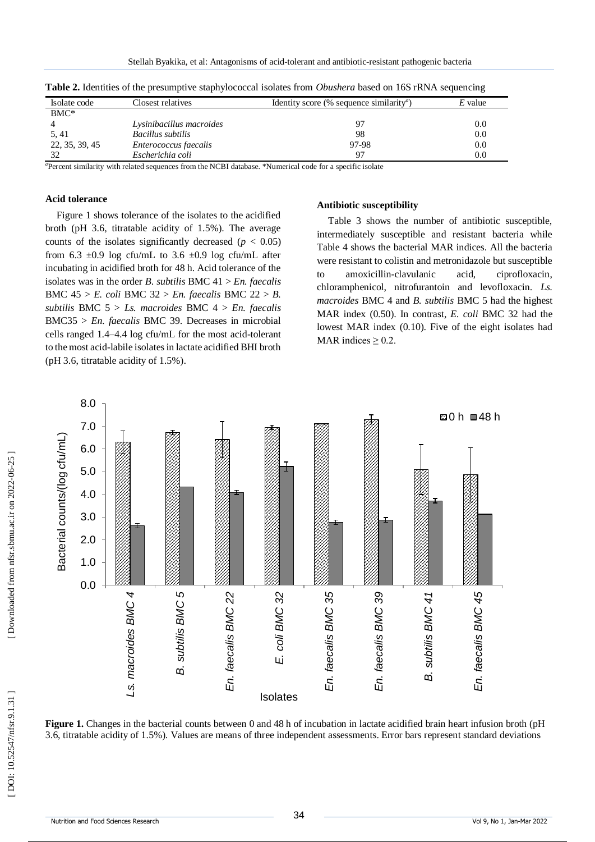|                |                          |                                                             | ີ         |
|----------------|--------------------------|-------------------------------------------------------------|-----------|
| Isolate code   | Closest relatives        | Identity score (% sequence similarity <sup><i>a</i></sup> ) | $E$ value |
| $BMC^*$        |                          |                                                             |           |
|                | Lysinibacillus macroides | 97                                                          | $0.0\,$   |
| 5, 41          | Bacillus subtilis        | 98                                                          | 0.0       |
| 22, 35, 39, 45 | Enterococcus faecalis    | 97-98                                                       | $0.0\,$   |
| 32             | Escherichia coli         | 97                                                          | $0.0\,$   |

**Table 2.** Identities of the presumptive staphylococcal isolates from *Obushera* based on 16S rRNA sequencing

*a*Percent similarity with related sequences from the NCBI database. \*Numerical code for a specific isolate

#### **Acid tolerance**

Figure 1 shows tolerance of the isolates to the acidified broth (pH 3.6, titratable acidity of 1.5%). The average counts of the isolates significantly decreased  $(p < 0.05)$ from 6.3  $\pm$ 0.9 log cfu/mL to 3.6  $\pm$ 0.9 log cfu/mL after incubating in acidified broth for 48 h. Acid tolerance of the isolates was in the order *B*. *subtilis* BMC 41 > *En. faecalis*  BMC 45 > *E. coli* BMC 32 > *En. faecalis* BMC 22 > *B. subtilis* BMC 5 > *Ls. macroides* BMC 4 > *En. faecalis*  BMC35 > *En. faecalis* BMC 39. Decreases in microbial cells ranged 1.4 –4.4 log cfu/mL for the most acid -tolerant to the most acid -labile isolates in lactate acidified BHI broth (pH 3.6, titratable acidity of 1.5%) .

#### **Antibiotic susceptibility**

Table 3 shows the number of antibiotic susceptible, intermediately susceptible and resistant bacteria while Table 4 shows the bacterial MAR indices. All the bacteria were resistant to colistin and metronidazole but susceptible to amoxicillin acid, ciprofloxacin, chloramphenicol, nitrofurantoin and levofloxacin. *Ls. macroides* BMC 4 and *B. subtilis* BMC 5 had the highest MAR index (0.50). In contrast, *E. coli* BMC 32 had the lowest MAR index (0.10). Five of the eight isolates had MAR indices  $\geq 0.2$ .



**Figure 1.** Changes in the bacterial counts between 0 and 48 h of incubation in lactate acidified brain heart infusion broth (pH 3.6, titratable acidity of 1.5%). Values are means of three independent assessments. Error bars represent standard deviations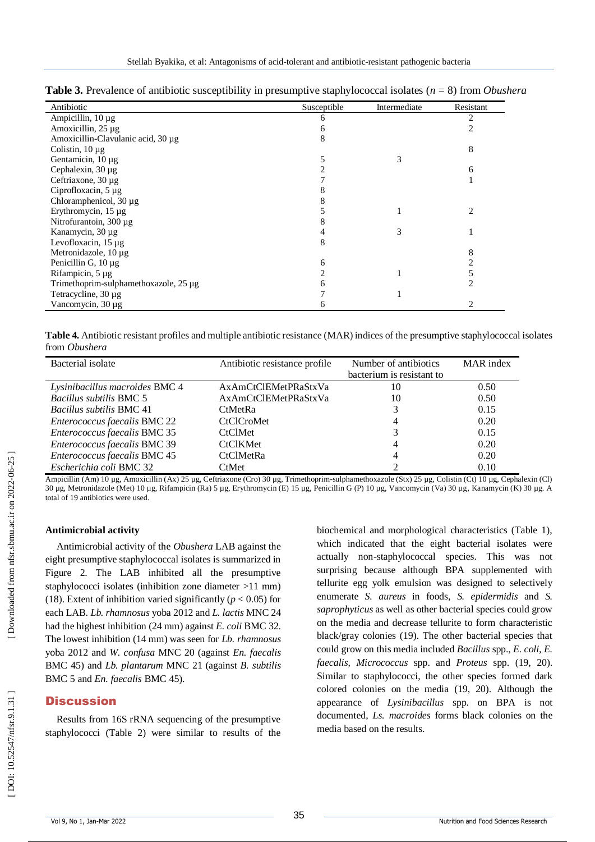| <b>Table 3.</b> Prevalence of antibiotic susceptibility in presumptive staphylococcal isolates ( $n = 8$ ) from <i>Obushera</i> |  |  |  |
|---------------------------------------------------------------------------------------------------------------------------------|--|--|--|
|---------------------------------------------------------------------------------------------------------------------------------|--|--|--|

| Antibiotic                            | Susceptible | Intermediate | Resistant |
|---------------------------------------|-------------|--------------|-----------|
| Ampicillin, $10 \mu g$                | 6           |              | 2         |
| Amoxicillin, 25 µg                    |             |              |           |
| Amoxicillin-Clavulanic acid, 30 μg    | 8           |              |           |
| Colistin, $10 \mu$ g                  |             |              | 8         |
| Gentamicin, 10 µg                     |             |              |           |
| Cephalexin, $30 \mu$ g                |             |              | 6         |
| Ceftriaxone, 30 µg                    |             |              |           |
| Ciprofloxacin, 5 µg                   |             |              |           |
| Chloramphenicol, 30 µg                |             |              |           |
| Erythromycin, 15 µg                   |             |              |           |
| Nitrofurantoin, 300 µg                |             |              |           |
| Kanamycin, 30 µg                      |             |              |           |
| Levofloxacin, 15 µg                   | 8           |              |           |
| Metronidazole, 10 µg                  |             |              |           |
| Penicillin G, $10 \mu$ g              | 6           |              |           |
| Rifampicin, 5 µg                      |             |              |           |
| Trimethoprim-sulphamethoxazole, 25 µg |             |              |           |
| Tetracycline, 30 μg                   |             |              |           |
| Vancomycin, 30 µg                     |             |              |           |

**Table 4.** Antibiotic resistant profiles and multiple antibiotic resistance (MAR) indices of the presumptive staphylococcal isolates from *Obushera*

| Bacterial isolate               | Antibiotic resistance profile | Number of antibiotics     | <b>MAR</b> index |
|---------------------------------|-------------------------------|---------------------------|------------------|
|                                 |                               | bacterium is resistant to |                  |
| Lysinibacillus macroides BMC 4  | AxAmCtClEMetPRaStxVa          | 10                        | 0.50             |
| <i>Bacillus subtilis BMC 5</i>  | AxAmCtClEMetPRaStxVa          | 10                        | 0.50             |
| <i>Bacillus subtilis BMC 41</i> | <b>CtMetRa</b>                |                           | 0.15             |
| Enterococcus faecalis BMC 22    | <b>CtClCroMet</b>             | 4                         | 0.20             |
| Enterococcus faecalis BMC 35    | <b>CtClMet</b>                |                           | 0.15             |
| Enterococcus faecalis BMC 39    | <b>CtClKMet</b>               | 4                         | 0.20             |
| Enterococcus faecalis BMC 45    | <b>CtClMetRa</b>              | 4                         | 0.20             |
| Escherichia coli BMC 32         | CtMet                         |                           | 0.10             |

Ampicillin (Am) 10 µg, Amoxicillin (Ax) 25 µg, Ceftriaxone (Cro) 30 µg, Trimethoprim-sulphamethoxazole (Stx) 25 µg, Colistin (Ct) 10 µg, Cephalexin (Cl) 30 µg, Metronidazole (Met) 10 µg, Rifampicin (Ra) 5 µg, Erythromycin (E) 15 µg, Penicillin G (P) 10 µg, Vancomycin (Va) 30 µg, Kanamycin (K) 30 µg. A total of 19 antibiotics were used.

#### **Antimicrobial activity**

Antimicrobial activity of the *Obushera* LAB against the eight presumptive staphylococcal isolates is summarized in Figure 2. The LAB inhibited all the presumptive staphylococci isolates (inhibition zone diameter >11 mm) (18). Extent of inhibition varied significantly ( $p < 0.05$ ) for each LAB. *Lb. rhamnosus* yoba 2012 and *L. lactis* MNC 24 had the highest inhibition (24 mm) against *E. coli* BMC 32. The lowest inhibition (14 mm) was seen for *Lb. rhamnosus*  yoba 2012 and *W. confusa* MNC 20 (against *En. faecalis* BMC 45) and *Lb. plantarum* MNC 21 (against *B. subtilis* BMC 5 and *En. faecalis* BMC 45).

# **Discussion**

Results from 16S rRNA sequencing of the presumptive staphylococci (Table 2) were similar to results of the

biochemical and morphological characteristics (Table 1), which indicated that the eight bacterial isolates were actually non -staphylococcal species. This was not surprising because although BPA supplemented with tellurite egg yolk emulsion was designed to selectively enumerate *S. aureus* in foods, *S. epidermidis* and *S. saprophyticus* as well as other bacterial species could grow on the media and decrease tellurite to form characteristic black/gray colonies (19). The other bacterial species that could grow on this media included *Bacillus* spp., *E. coli, E. faecalis, Micrococcus* spp. and *Proteus* spp. (19, 20). Similar to staphylococci, the other species formed dark colored colonies on the media (19, 20). Although the appearance of *Lysinibacillus* spp. on BPA is not documented, *Ls. macroides* forms black colonies on the media based on the results.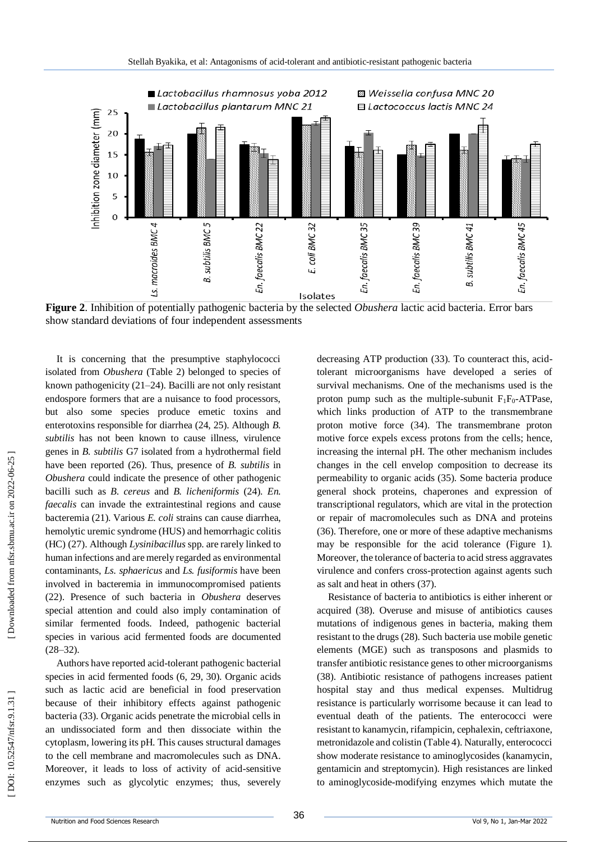

**Figure 2**. Inhibition of potentially pathogenic bacteria by the selected *Obushera* lactic acid bacteria. Error bars show standard deviations of four independent assessment s

It is concerning that the presumptive staphylococci isolated from *Obushera* (Table 2) belonged to species of known pathogenicity (21 – 24). Bacilli are not only resistant endospore formers that are a nuisance to food processors, but also some species produce emetic toxins and enterotoxins responsible for diarrhea (24, 25). Although *B. subtilis* has not been known to cause illness, virulence genes in *B. subtilis* G7 isolated from a hydrothermal field have been reported (26). Thus, presence of *B. subtilis* in *Obushera* could indicate the presence of other pathogenic bacilli such as *B. cereus* and *B. licheniformis* (24). *En. faecalis* can invade the extraintestinal regions and cause bacteremia (21). Various *E. coli* strains can cause diarrhea, hemolytic uremic syndrome (HUS) and hemorrhagic colitis (HC) (27). Although *Lysinibacillus* spp. are rarely linked to human infections and are merely regarded as environmental contaminants, *Ls. sphaericus* and *Ls. fusiformis* have been involved in bacteremia in immunocompromised patients (22). Presence of such bacteria in *Obushera* deserves special attention and could also imply contamination of similar fermented foods. Indeed, pathogenic bacterial species in various acid fermented foods are documented  $(28 - 32)$ .

Authors have reported acid -tolerant pathogenic bacterial species in acid fermented foods (6, 29, 30). Organic acids such as lactic acid are beneficial in food preservation because of their inhibitory effects against pathogenic bacteria (33). Organic acids penetrate the microbial cells in an undissociated form and then dissociate within the cytoplasm, lowering its pH. This causes structural damages to the cell membrane and macromolecules such as DNA. Moreover, it leads to loss of activity of acid -sensitive enzymes such as glycolytic enzymes; thus, severely

decreasing ATP production (33). To counteract this, acid tolerant microorganisms have developed a series of survival mechanisms. One of the mechanisms used is the proton pump such as the multiple-subunit  $F_1F_0$ -ATPase, which links production of ATP to the transmembrane proton motive force (34). The transmembrane proton motive force expels excess protons from the cells; hence, increasing the internal pH. The other mechanism includes changes in the cell envelop composition to decrease its permeability to organic acids (35). Some bacteria produce general shock proteins, chaperones and expression of transcriptional regulators, which are vital in the protection or repair of macromolecules such as DNA and proteins (36). Therefore, one or more of these adaptive mechanisms may be responsible for the acid tolerance (Figure 1). Moreover, the tolerance of bacteria to acid stress aggravates virulence and confers cross -protection against agents such as salt and heat in others (37).

Resistance of bacteria to antibiotics is either inherent or acquired (38). Overuse and misuse of antibiotics cause s mutations of indigenous genes in bacteria, making them resistant to the drugs (28). Such bacteria use mobile genetic elements (MGE) such as transposons and plasmids to transfer antibiotic resistance genes to other microorganisms (38). Antibiotic resistance of pathogens increases patient hospital stay and thus medical expenses. Multidrug resistance is particularly worrisome because it can lead to eventual death of the patients. The enterococci were resistant to kanamycin, rifampicin, cephalexin, ceftriaxone, metronidazole and colistin (Table 4). Naturally, enterococci show moderate resistance to aminoglycosides (kanamycin, gentamicin and streptomycin). High resistances are linked to aminoglycoside -modifying enzymes which mutate the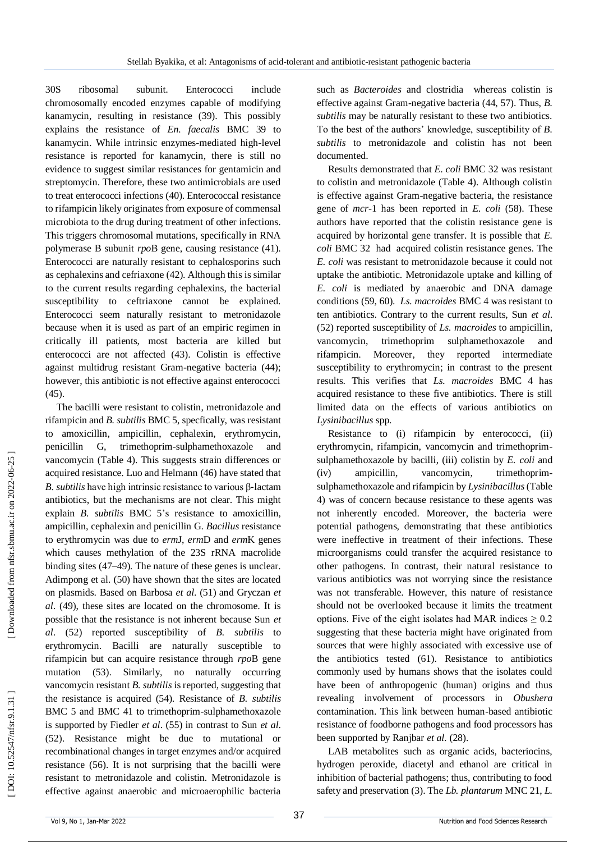30S ribosomal subunit. Enterococci include chromosomally encoded enzymes capable of modifying kanamycin, resulting in resistance (39). This possibly explains the resistance of *En. faecalis* BMC 39 to kanamycin. While intrinsic enzymes -mediated high -level resistance is reported for kanamycin, there is still no evidence to suggest similar resistances for gentamicin and streptomycin. Therefore, these two antimicrobials are used to treat enterococci infections (40). Enterococcal resistance to rifampicin likely originates from exposure of commensal microbiota to the drug during treatment of other infections. This triggers chromosomal mutations, specifically in RNA polymerase B subunit *rpo* B gene, causing resistance (41). Enterococci are naturally resistant to cephalosporins such as cephalexins and cefriaxone (42). Although this is similar to the current results regarding cephalexins, the bacterial susceptibility to ceftriaxone cannot be explained. Enterococci seem naturally resistant to metronidazole because when it is used as part of an empiric regimen in critically ill patients, most bacteria are killed but enterococci are not affected (43). Colistin is effective against multidrug resistant Gram -negative bacteria (44); however, this antibiotic is not effective against enterococci (45).

The bacilli were resistant to colistin, metronidazole and rifampicin and *B. subtilis* BMC 5, specfically, was resistant to amoxicillin, ampicillin, cephalexin, erythromycin, penicillin G, trimethoprim -sulphamethoxazole and vancomycin (Table 4). This suggests strain differences or acquired resistance. Luo and Helmann (46) have stated that *B. subtilis* have high intrinsic resistance to various β ‐lactam antibiotics, but the mechanisms are not clear. This might explain *B. subtilis* BMC 5's resistance to amoxicillin, ampicillin, cephalexin and penicillin G. *Bacillus* resistance to erythromycin was due to *erm*J, *erm*D and *erm* K genes which causes methylation of the 23S rRNA macrolide binding sites (47 –49)*.* The nature of these genes is unclear. Adimpong et al. (50) have shown that the sites are located on plasmids. Based on Barbosa *et al*. (51) and Gryczan *et al*. (49), these sites are located on the chromosome. It is possible that the resistance is not inherent because Sun *et al*. (52) reported susceptibility of *B. subtilis* to erythromycin. Bacilli are naturally susceptible to rifampicin but can acquire resistance through *rpo* B gene mutation (53). Similarly, no naturally occurring vancomycin resistant *B. subtilis* is reported, suggesting that the resistance is acquired (54). Resistance of *B. subtilis* BMC 5 and BMC 41 to trimethoprim -sulphamethoxazole is supported by Fiedler *et al*. (55) in contrast to Sun *et al*. (52). Resistance might be due to mutational or recombinational changes in target enzymes and/or acquired resistance (56). It is not surprising that the bacilli were resistant to metronidazole and colistin. Metronidazole is effective against anaerobic and microaerophilic bacteria

such as *Bacteroides* and clostridia whereas colistin is effective against Gram -negative bacteria (44, 57). Thus, *B. subtilis* may be naturally resistant to these two antibiotics. To the best of the authors' knowledge, susceptibility of *B. subtilis* to metronidazole and colistin has not been documented.

Results demonstrated that *E. coli* BMC 32 was resistant to colistin and metronidazole (Table 4). Although colistin is effective against Gram -negative bacteria, the resistance gene of *mcr* - 1 has been reported in *E. coli* (58). These authors have reported that the colistin resistance gene is acquired by horizontal gene transfer. It is possible that *E. coli* BMC 32 had acquired colistin resistance genes. The *E. coli* was resistant to metronidazole because it could not uptake the antibiotic. Metronidazole uptake and killing of *E. coli* is mediated by anaerobic and DNA damage conditions (59, 60). *Ls. macroides* BMC 4 was resistant to ten antibiotics. Contrary to the current results, Sun *et al*. (52) reported susceptibility of *Ls. macroides* to ampicillin, vancomycin, trimethoprim sulphamethoxazole and rifampicin. Moreover, they reported intermediate susceptibility to erythromycin; in contrast to the present results. This verifies that *Ls. macroides* BMC 4 has acquired resistance to these five antibiotics. There is still limited data on the effects of various antibiotics on *Lysinibacillus* spp.

Resistance to (i) rifampicin by enterococci, (ii) erythromycin, rifampicin, vancomycin and trimethoprim sulphamethoxazole by bacilli, (iii) colistin by *E. coli* and (iv) ampicillin, vancomycin, trimethoprimsulphamethoxazole and rifampicin by *Lysinibacillus*(Table 4) was of concern because resistance to these agents was not inherently encoded. Moreover, the bacteria were potential pathogens, demonstrating that these antibiotics were ineffective in treatment of their infections. These microorganisms could transfer the acquired resistance to other pathogens. In contrast, their natural resistance to various antibiotics was not worrying since the resistance was not transferable. However, this nature of resistance should not be overlooked because it limits the treatment options. Five of the eight isolates had MAR indices  $\geq 0.2$ suggesting that these bacteria might have originated from sources that were highly associated with excessive use of the antibiotics tested (61). Resistance to antibiotics commonly used by humans shows that the isolates could have been of anthropogenic (human) origins and thus revealing involvement of processors in *Obushera* contamination. This link between human -based antibiotic resistance of foodborne pathogens and food processors has been supported by Ranjbar *et al*. (28).

LAB metabolites such as organic acids, bacteriocins, hydrogen peroxide, diacetyl and ethanol are critical in inhibition of bacterial pathogens; thus, contributing to food safety and preservation (3). The *Lb. plantarum* MNC 21, *L.*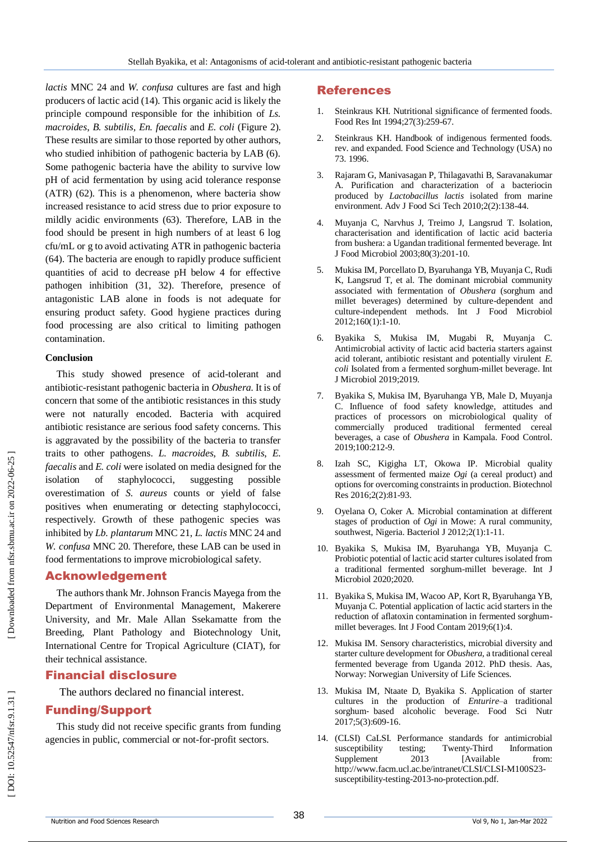*lactis* MNC 24 and *W. confusa* cultures are fast and high producers of lactic acid (14). This organic acid is likely the principle compound responsible for the inhibition of *Ls. macroides*, *B. subtilis, En. faecalis* and *E. coli* (Figure 2). These results are similar to those reported by other authors, who studied inhibition of pathogenic bacteria by LAB (6). Some pathogenic bacteria have the ability to survive low pH of acid fermentation by using acid tolerance response (ATR) (62). This is a phenomenon, where bacteria show increased resistance to acid stress due to prior exposure to mildly acidic environments (63). Therefore, LAB in the food should be present in high numbers of at least 6 log cfu/mL or g to avoid activating ATR in pathogenic bacteria (64). The bacteria are enough to rapidly produce sufficient quantities of acid to decrease pH below 4 for effective pathogen inhibition (31, 32). Therefore, presence of antagonistic LAB alone in foods is not adequate for ensuring product safety. Good hygiene practices during food processing are also critical to limiting pathogen contamination.

### **Conclusion**

This study showed presence of acid -tolerant and antibiotic -resistant pathogenic bacteria in *Obushera*. It is of concern that some of the antibiotic resistances in this study were not naturally encoded. Bacteria with acquired antibiotic resistance are serious food safety concerns. This is aggravated by the possibility of the bacteria to transfer traits to other pathogens. *L. macroides*, *B. subtilis*, *E. faecalis* and *E. coli* were isolated on media designed for the isolation of staphylococci, suggesting possible overestimation of *S. aureus* counts or yield of false positives when enumerating or detecting staphylococci, respectively. Growth of these pathogenic species was inhibited by *Lb. plantarum* MNC 21, *L. lactis* MNC 24 and *W. confusa* MNC 20. Therefore, these LAB can be used in food fermentations to improve microbiological safety.

# Acknowledgement

The authors thank Mr. Johnson Francis Mayega from the Department of Environmental Management, Makerere University, and Mr. Male Allan Ssekamatte from the Breeding, Plant Pathology and Biotechnology Unit, International Centre for Tropical Agriculture (CIAT), for their technical assistance.

# Financial disclosure

The authors declared no financial interest.

# Funding/Support

This study did not receive specific grants from funding agencies in public, commercial or not -for -profit sectors.

# References

- 1. Steinkraus KH. Nutritional significance of fermented foods. Food Res Int 1994;27(3):259 -67.
- $2^{2}$ . Steinkraus KH. Handbook of indigenous fermented foods. rev. and expanded. Food Science and Technology (USA) no 73. 1996.
- 3 . Rajaram G, Manivasagan P, Thilagavathi B, Saravanakumar A. Purification and characterization of a bacteriocin produced by *Lactobacillus lactis* isolated from marine environment. Adv J Food Sci Tech 2010;2(2):138 -44.
- 4 . Muyanja C, Narvhus J, Treimo J, Langsrud T. Isolation, characterisation and identification of lactic acid bacteria from bushera: a Ugandan traditional fermented beverage. Int J Food Microbiol 2003;80(3):201 -10.
- 5 . Mukisa IM, Porcellato D, Byaruhanga YB, Muyanja C, Rudi K, Langsrud T, et al. The dominant microbial community associated with fermentation of *Obushera* (sorghum and millet beverages) determined by culture -dependent and culture -independent methods. Int J Food Microbiol 2012;160(1):1 -10.
- 6 . Byakika S, Mukisa IM, Mugabi R, Muyanja C. Antimicrobial activity of lactic acid bacteria starters against acid tolerant, antibiotic resistant and potentially virulent *E. coli* Isolated from a fermented sorghum -millet beverage. Int J Microbiol 2019;2019.
- 7 . Byakika S, Mukisa IM, Byaruhanga YB, Male D, Muyanja C. Influence of food safety knowledge, attitudes and practices of processors on microbiological quality of commercially produced traditional fermented cereal beverages, a case of *Obushera* in Kampala. Food Control. 2019;100:212 -9.
- 8 . Izah SC, Kigigha LT, Okowa IP. Microbial quality assessment of fermented maize *Ogi* (a cereal product) and options for overcoming constraints in production. Biotechnol Res 2016;2(2):81 -93.
- 9 . Oyelana O, Coker A. Microbial contamination at different stages of production of *Ogi* in Mowe: A rural community, southwest, Nigeria. Bacteriol J 2012;2(1):1 -11.
- 10 . Byakika S, Mukisa IM, Byaruhanga YB, Muyanja C. Probiotic potential of lactic acid starter cultures isolated from a traditional fermented sorghum -millet beverage. Int J Microbiol 2020;2020.
- 11 . Byakika S, Mukisa IM, Wacoo AP, Kort R, Byaruhanga YB, Muyanja C. Potential application of lactic acid starters in the reduction of aflatoxin contamination in fermented sorghum millet beverages. Int J Food Contam 2019;6(1):4.
- 12 . Mukisa IM. Sensory characteristics, microbial diversity and starter culture development for *Obushera*, a traditional cereal fermented beverage from Uganda 2012. PhD thesis. Aas, Norway: Norwegian University of Life Sciences.
- 13 . Mukisa IM, Ntaate D, Byakika S. Application of starter cultures in the production of *Enturire* –a traditional sorghum ‐ based alcoholic beverage. Food Sci Nutr 2017;5(3):609 -16.
- 14 . (CLSI) CaLSI. Performance standards for antimicrobial susceptibility testing; Twenty-Third **Information** Supplement 2013 [Available from: http://www.facm.ucl.ac.be/intranet/CLSI/CLSI-M100S23susceptibility-testing-2013-no-protection.pdf.

Downloaded from nfsr.sbmu.ac.ir on 2022-06-25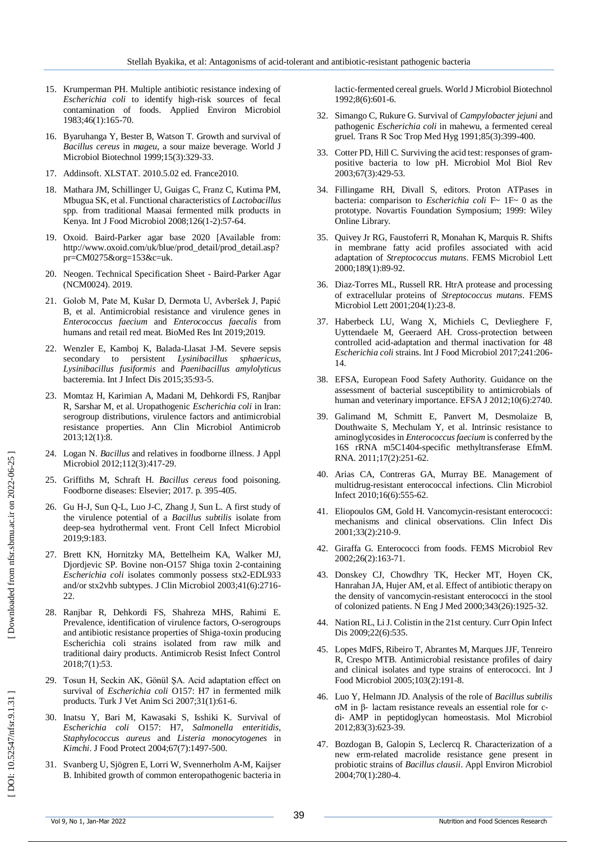- 15 . Krumperman PH. Multiple antibiotic resistance indexing of *Escherichia coli* to identify high -risk sources of fecal contamination of foods. Applied Environ Microbiol 1983;46(1):165 -70.
- 16 . Byaruhanga Y, Bester B, Watson T. Growth and survival of *Bacillus cereus* in *mageu*, a sour maize beverage. World J Microbiol Biotechnol 1999;15(3):329 -33.
- 17 . Addinsoft. XLSTAT. 2010.5.02 ed. France2010.
- 18 . Mathara JM, Schillinger U, Guigas C, Franz C, Kutima PM, Mbugua SK, et al. Functional characteristics of *Lactobacillus* spp. from traditional Maasai fermented milk products in Kenya. Int J Food Microbiol 2008;126(1 -2):57 -64.
- 19 . Oxoid. Baird -Parker agar base 2020 [Available from: http://www.oxoid.com/uk/blue/prod\_detail/prod\_detail.asp? pr=CM0275&org=153&c=uk.
- 20 . Neogen. Technical Specification Sheet Baird -Parker Agar (NCM0024). 2019.
- 21 . Golob M, Pate M, Kušar D, Dermota U, Avberšek J, Papić B, et al. Antimicrobial resistance and virulence genes in *Enterococcus faecium* and *Enterococcus faecalis* from humans and retail red meat. BioMed Res Int 2019;2019.
- 22 . Wenzler E, Kamboj K, Balada -Llasat J -M. Severe sepsis secondary to persistent *Lysinibacillus sphaericus*, *Lysinibacillus fusiformis* and *Paenibacillus amylolyticus* bacteremia. Int J Infect Dis 2015;35:93 -5.
- 23 . Momtaz H, Karimian A, Madani M, Dehkordi FS, Ranjbar R, Sarshar M, et al. Uropathogenic *Escherichia coli* in Iran: serogroup distributions, virulence factors and antimicrobial resistance properties. Ann Clin Microbiol Antimicrob 2013;12(1):8.
- 24 . Logan N. *Bacillus* and relatives in foodborne illness. J Appl Microbiol 2012;112(3):417 -29.
- 25 . Griffiths M, Schraft H. *Bacillus cereus* food poisoning. Foodborne diseases: Elsevier; 2017. p. 395 -405.
- 26 . Gu H -J, Sun Q -L, Luo J -C, Zhang J, Sun L. A first study of the virulence potential of a *Bacillus subtilis* isolate from deep -sea hydrothermal vent. Front Cell Infect Microbiol 2019;9:183.
- 27 . Brett KN, Hornitzky MA, Bettelheim KA, Walker MJ, Djordjevic SP. Bovine non -O157 Shiga toxin 2 -containing *Escherichia coli* isolates commonly possess stx2 -EDL933 and/or stx2vhb subtypes. J Clin Microbiol 2003;41(6):2716 - 22.
- 28 . Ranjbar R, Dehkordi FS, Shahreza MHS, Rahimi E. Prevalence, identification of virulence factors, O -serogroups and antibiotic resistance properties of Shiga -toxin producing Escherichia coli strains isolated from raw milk and traditional dairy products. Antimicrob Resist Infect Control 2018;7(1):53.
- 29 . Tosun H, Seckin AK, Gönül ŞA. Acid adaptation effect on survival of *Escherichia coli* O157: H7 in fermented milk products. Turk J Vet Anim Sci 2007;31(1):61 -6.
- 30 . Inatsu Y, Bari M, Kawasaki S, Isshiki K. Survival of *Escherichia coli* O157: H7, *Salmonella enteritidis*, *Staphylococcus aureus* and *Listeria monocytogenes* in *Kimchi*. J Food Protect 2004;67(7):1497 -500.
- 31 . Svanberg U, Sjögren E, Lorri W, Svennerholm A -M, Kaijser B. Inhibited growth of common enteropathogenic bacteria in

lactic -fermented cereal gruels. World J Microbiol Biotechnol 1992;8(6):601 -6.

- 32 . Simango C, Rukure G. Survival of *Campylobacter jejuni* and pathogenic *Escherichia coli* in mahewu, a fermented cereal gruel. Trans R Soc Trop Med Hyg 1991;85(3):399 -400.
- 33 . Cotter PD, Hill C. Surviving the acid test: responses of gram positive bacteria to low pH. Microbiol Mol Biol Rev 2003;67(3):429 -53.
- 34 . Fillingame RH, Divall S, editors. Proton ATPases in bacteria: comparison to *Escherichia coli* F~ 1F~ 0 as the prototype. Novartis Foundation Symposium; 1999: Wiley Online Library.
- 35 . Quivey Jr RG, Faustoferri R, Monahan K, Marquis R. Shifts in membrane fatty acid profiles associated with acid adaptation of *Streptococcus mutans*. FEMS Microbiol Lett 2000;189(1):89 -92.
- 36 . Diaz -Torres ML, Russell RR. HtrA protease and processing of extracellular proteins of *Streptococcus mutans*. FEMS Microbiol Lett 2001;204(1):23 -8.
- 37 . Haberbeck LU, Wang X, Michiels C, Devlieghere F, Uyttendaele M, Geeraerd AH. Cross -protection between controlled acid -adaptation and thermal inactivation for 48 *Escherichi a coli* strains. Int J Food Microbiol 2017;241:206 - 14.
- 38 . EFSA, European Food Safety Authority. Guidance on the assessment of bacterial susceptibility to antimicrobials of human and veterinary importance. EFSA J 2012;10(6):2740.
- 39 . Galimand M, Schmitt E, Panvert M, Desmolaize B, Douthwaite S, Mechulam Y, et al. Intrinsic resistance to aminoglycosides in *Enterococcus faecium* is conferred by the 16S rRNA m5C1404 -specific methyltransferase EfmM. RNA. 2011;17(2):251 -62.
- 40 . Arias CA, Contreras GA, Murray BE. Management of multidrug -resistant enterococcal infections. Clin Microbiol Infect 2010;16(6):555 -62.
- 41 . Eliopoulos GM, Gold H. Vancomycin -resistant enterococci: mechanisms and clinical observations. Clin Infect Dis 2001;33(2):210 -9.
- 42 . Giraffa G. Enterococci from foods. FEMS Microbiol Rev 2002;26(2):163 -71.
- 43 . Donskey CJ, Chowdhry TK, Hecker MT, Hoyen CK, Hanrahan JA, Hujer AM, et al. Effect of antibiotic therapy on the density of vancomycin -resistant enterococci in the stool of colonized patients. N Eng J Med 2000;343(26):1925 - 32.
- 44 . Nation RL, Li J. Colistin in the 21st century. Curr Opin Infect Dis 2009;22(6):535.
- 45 . Lopes MdFS, Ribeiro T, Abrantes M, Marques JJF, Tenreiro R, Crespo MTB. Antimicrobial resistance profiles of dairy and clinical isolates and type strains of enterococci. Int J Food Microbiol 2005;103(2):191 -8.
- 46 . Luo Y, Helmann JD. Analysis of the role of *Bacillus subtilis* σM in β ‐ lactam resistance reveals an essential role for c ‐ di ‐ AMP in peptidoglycan homeostasis. Mol Microbiol 2012;83(3):623 -39.
- 47 . Bozdogan B, Galopin S, Leclercq R. Characterization of a new erm -related macrolide resistance gene present in probiotic strains of *Bacillus clausii*. Appl Environ Microbiol 2004;70(1):280 -4.